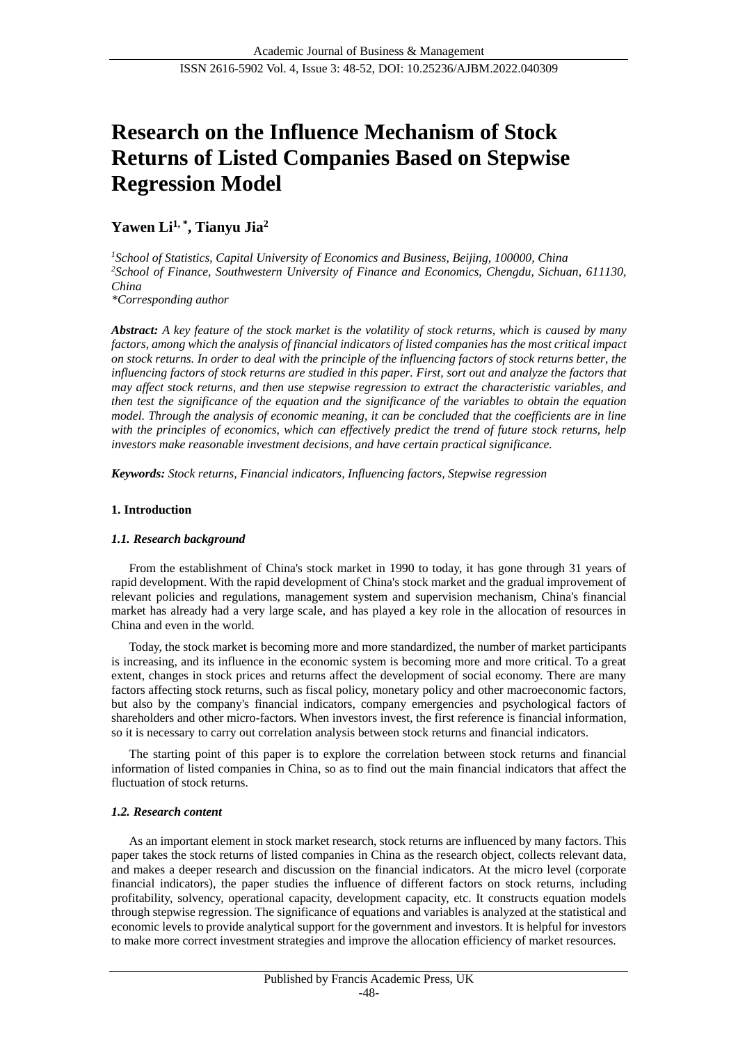# **Research on the Influence Mechanism of Stock Returns of Listed Companies Based on Stepwise Regression Model**

# **Yawen Li1, \* , Tianyu Jia<sup>2</sup>**

*<sup>1</sup>School of Statistics, Capital University of Economics and Business, Beijing, 100000, China <sup>2</sup>School of Finance, Southwestern University of Finance and Economics, Chengdu, Sichuan, 611130, China \*Corresponding author*

*Abstract: A key feature of the stock market is the volatility of stock returns, which is caused by many factors, among which the analysis of financial indicators of listed companies has the most critical impact on stock returns. In order to deal with the principle of the influencing factors of stock returns better, the influencing factors of stock returns are studied in this paper. First, sort out and analyze the factors that may affect stock returns, and then use stepwise regression to extract the characteristic variables, and then test the significance of the equation and the significance of the variables to obtain the equation model. Through the analysis of economic meaning, it can be concluded that the coefficients are in line*  with the principles of economics, which can effectively predict the trend of future stock returns, help *investors make reasonable investment decisions, and have certain practical significance.*

*Keywords: Stock returns, Financial indicators, Influencing factors, Stepwise regression*

# **1. Introduction**

# *1.1. Research background*

From the establishment of China's stock market in 1990 to today, it has gone through 31 years of rapid development. With the rapid development of China's stock market and the gradual improvement of relevant policies and regulations, management system and supervision mechanism, China's financial market has already had a very large scale, and has played a key role in the allocation of resources in China and even in the world.

Today, the stock market is becoming more and more standardized, the number of market participants is increasing, and its influence in the economic system is becoming more and more critical. To a great extent, changes in stock prices and returns affect the development of social economy. There are many factors affecting stock returns, such as fiscal policy, monetary policy and other macroeconomic factors, but also by the company's financial indicators, company emergencies and psychological factors of shareholders and other micro-factors. When investors invest, the first reference is financial information, so it is necessary to carry out correlation analysis between stock returns and financial indicators.

The starting point of this paper is to explore the correlation between stock returns and financial information of listed companies in China, so as to find out the main financial indicators that affect the fluctuation of stock returns.

# *1.2. Research content*

As an important element in stock market research, stock returns are influenced by many factors. This paper takes the stock returns of listed companies in China as the research object, collects relevant data, and makes a deeper research and discussion on the financial indicators. At the micro level (corporate financial indicators), the paper studies the influence of different factors on stock returns, including profitability, solvency, operational capacity, development capacity, etc. It constructs equation models through stepwise regression. The significance of equations and variables is analyzed at the statistical and economic levels to provide analytical support for the government and investors. It is helpful for investors to make more correct investment strategies and improve the allocation efficiency of market resources.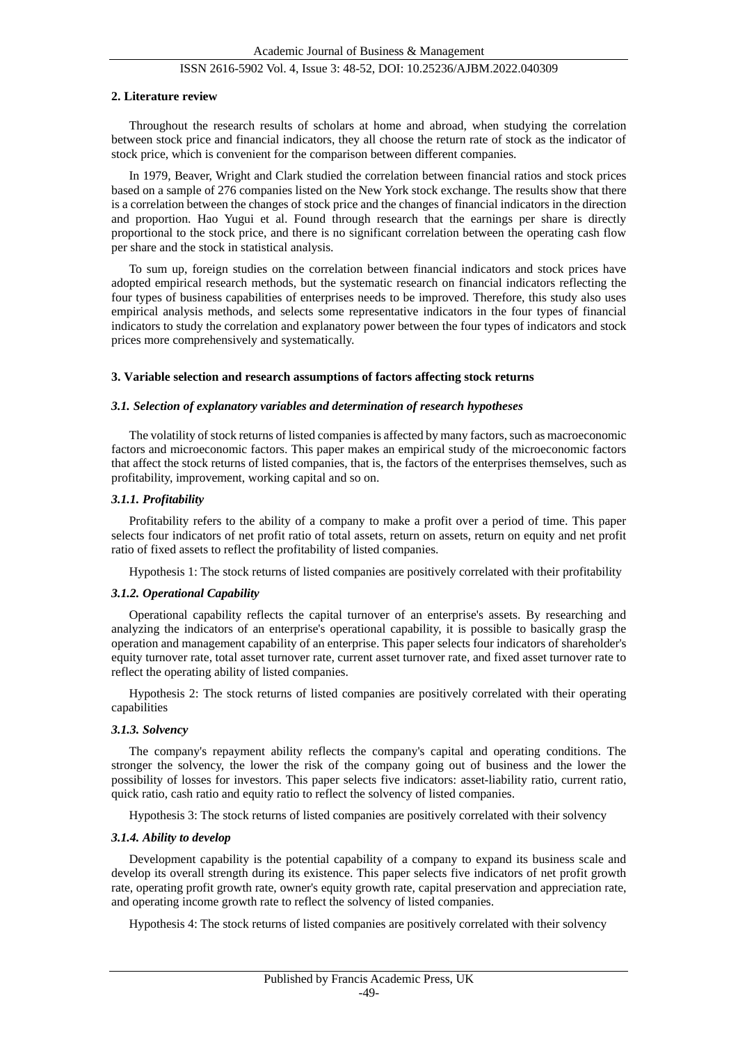#### **2. Literature review**

Throughout the research results of scholars at home and abroad, when studying the correlation between stock price and financial indicators, they all choose the return rate of stock as the indicator of stock price, which is convenient for the comparison between different companies.

In 1979, Beaver, Wright and Clark studied the correlation between financial ratios and stock prices based on a sample of 276 companies listed on the New York stock exchange. The results show that there is a correlation between the changes of stock price and the changes of financial indicators in the direction and proportion. Hao Yugui et al. Found through research that the earnings per share is directly proportional to the stock price, and there is no significant correlation between the operating cash flow per share and the stock in statistical analysis.

To sum up, foreign studies on the correlation between financial indicators and stock prices have adopted empirical research methods, but the systematic research on financial indicators reflecting the four types of business capabilities of enterprises needs to be improved. Therefore, this study also uses empirical analysis methods, and selects some representative indicators in the four types of financial indicators to study the correlation and explanatory power between the four types of indicators and stock prices more comprehensively and systematically.

#### **3. Variable selection and research assumptions of factors affecting stock returns**

#### *3.1. Selection of explanatory variables and determination of research hypotheses*

The volatility of stock returns of listed companies is affected by many factors, such as macroeconomic factors and microeconomic factors. This paper makes an empirical study of the microeconomic factors that affect the stock returns of listed companies, that is, the factors of the enterprises themselves, such as profitability, improvement, working capital and so on.

#### *3.1.1. Profitability*

Profitability refers to the ability of a company to make a profit over a period of time. This paper selects four indicators of net profit ratio of total assets, return on assets, return on equity and net profit ratio of fixed assets to reflect the profitability of listed companies.

Hypothesis 1: The stock returns of listed companies are positively correlated with their profitability

#### *3.1.2. Operational Capability*

Operational capability reflects the capital turnover of an enterprise's assets. By researching and analyzing the indicators of an enterprise's operational capability, it is possible to basically grasp the operation and management capability of an enterprise. This paper selects four indicators of shareholder's equity turnover rate, total asset turnover rate, current asset turnover rate, and fixed asset turnover rate to reflect the operating ability of listed companies.

Hypothesis 2: The stock returns of listed companies are positively correlated with their operating capabilities

#### *3.1.3. Solvency*

The company's repayment ability reflects the company's capital and operating conditions. The stronger the solvency, the lower the risk of the company going out of business and the lower the possibility of losses for investors. This paper selects five indicators: asset-liability ratio, current ratio, quick ratio, cash ratio and equity ratio to reflect the solvency of listed companies.

Hypothesis 3: The stock returns of listed companies are positively correlated with their solvency

#### *3.1.4. Ability to develop*

Development capability is the potential capability of a company to expand its business scale and develop its overall strength during its existence. This paper selects five indicators of net profit growth rate, operating profit growth rate, owner's equity growth rate, capital preservation and appreciation rate, and operating income growth rate to reflect the solvency of listed companies.

Hypothesis 4: The stock returns of listed companies are positively correlated with their solvency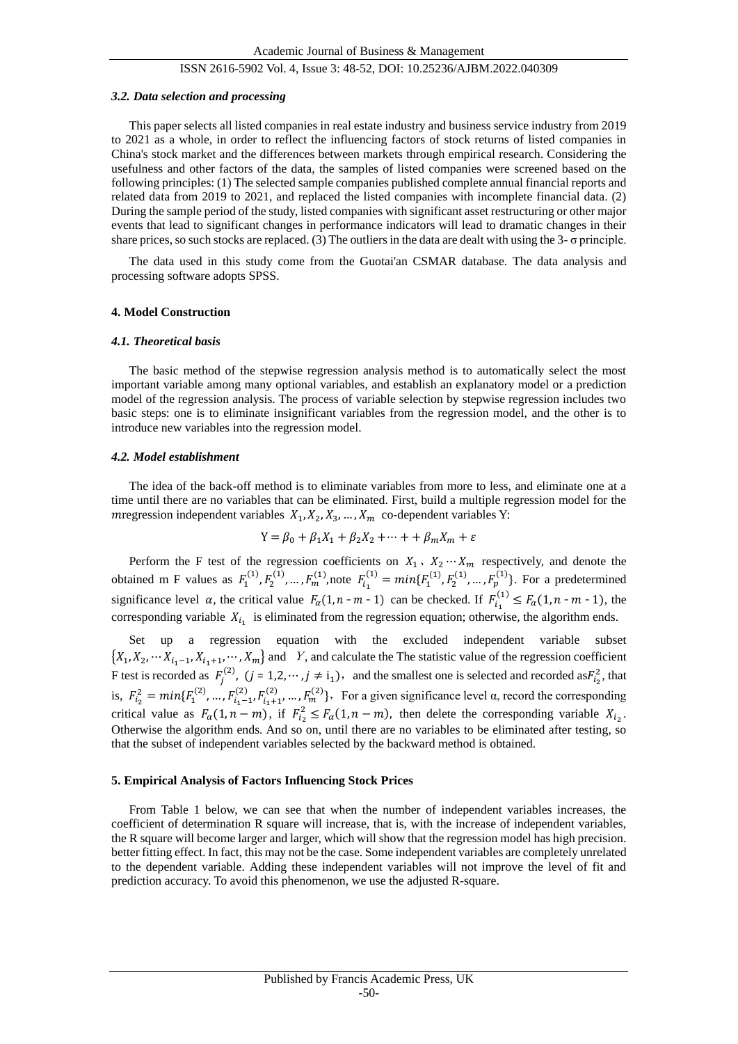#### *3.2. Data selection and processing*

This paper selects all listed companies in real estate industry and business service industry from 2019 to 2021 as a whole, in order to reflect the influencing factors of stock returns of listed companies in China's stock market and the differences between markets through empirical research. Considering the usefulness and other factors of the data, the samples of listed companies were screened based on the following principles: (1) The selected sample companies published complete annual financial reports and related data from 2019 to 2021, and replaced the listed companies with incomplete financial data. (2) During the sample period of the study, listed companies with significant asset restructuring or other major events that lead to significant changes in performance indicators will lead to dramatic changes in their share prices, so such stocks are replaced. (3) The outliers in the data are dealt with using the 3- σ principle.

The data used in this study come from the Guotai'an CSMAR database. The data analysis and processing software adopts SPSS.

# **4. Model Construction**

# *4.1. Theoretical basis*

The basic method of the stepwise regression analysis method is to automatically select the most important variable among many optional variables, and establish an explanatory model or a prediction model of the regression analysis. The process of variable selection by stepwise regression includes two basic steps: one is to eliminate insignificant variables from the regression model, and the other is to introduce new variables into the regression model.

# *4.2. Model establishment*

The idea of the back-off method is to eliminate variables from more to less, and eliminate one at a time until there are no variables that can be eliminated. First, build a multiple regression model for the m regression independent variables  $X_1, X_2, X_3, ..., X_m$  co-dependent variables Y:

$$
Y = \beta_0 + \beta_1 X_1 + \beta_2 X_2 + \dots + \beta_m X_m + \varepsilon
$$

Perform the F test of the regression coefficients on  $X_1, X_2 \cdots X_m$  respectively, and denote the obtained m F values as  $F_1^{(1)}$ ,  $F_2^{(1)}$ , ...,  $F_m^{(1)}$ , note  $F_{i_1}^{(1)} = min\{F_1^{(1)}, F_2^{(1)}, ..., F_p^{(1)}\}$ . For a predetermined significance level  $\alpha$ , the critical value  $F_{\alpha}(1, n - m - 1)$  can be checked. If  $F_{i_1}^{(1)} \le F_{\alpha}(1, n - m - 1)$ , the corresponding variable  $X_{i_1}$  is eliminated from the regression equation; otherwise, the algorithm ends.

Set up a regression equation with the excluded independent variable subset  $\{X_1, X_2, \dots, X_{i_1-1}, X_{i_1+1}, \dots, X_m\}$  and Y, and calculate the The statistic value of the regression coefficient F test is recorded as  $F_j^{(2)}$ ,  $(j = 1, 2, \dots, j \neq i_1)$ , and the smallest one is selected and recorded as  $F_{i_2}^2$ , that is,  $F_{i_2}^2 = min\{F_1^{(2)},..., F_{i_1-1}^{(2)},F_{i_1+1}^{(2)},..., F_m^{(2)}\}$ , For a given significance level  $\alpha$ , record the corresponding critical value as  $F_{\alpha}(1, n-m)$ , if  $F_{i_2}^2 \le F_{\alpha}(1, n-m)$ , then delete the corresponding variable  $X_{i_2}$ . Otherwise the algorithm ends. And so on, until there are no variables to be eliminated after testing, so that the subset of independent variables selected by the backward method is obtained.

#### **5. Empirical Analysis of Factors Influencing Stock Prices**

From Table 1 below, we can see that when the number of independent variables increases, the coefficient of determination R square will increase, that is, with the increase of independent variables, the R square will become larger and larger, which will show that the regression model has high precision. better fitting effect. In fact, this may not be the case. Some independent variables are completely unrelated to the dependent variable. Adding these independent variables will not improve the level of fit and prediction accuracy. To avoid this phenomenon, we use the adjusted R-square.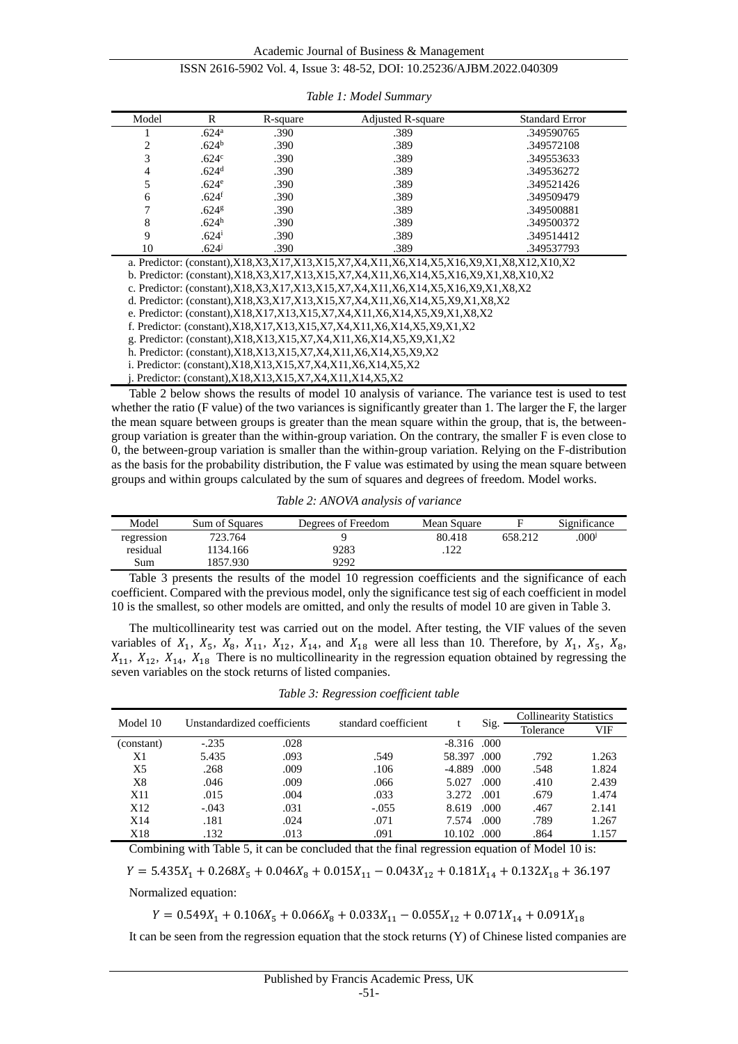| Model          | R                 | R-square | <b>Adjusted R-square</b>                                                                | <b>Standard Error</b> |
|----------------|-------------------|----------|-----------------------------------------------------------------------------------------|-----------------------|
|                | .624 <sup>a</sup> | .390     | .389                                                                                    | .349590765            |
| $\mathfrak{D}$ | .624 <sup>b</sup> | .390     | .389                                                                                    | .349572108            |
|                | .624 <sup>c</sup> | .390     | .389                                                                                    | .349553633            |
| 4              | .624 <sup>d</sup> | .390     | .389                                                                                    | .349536272            |
|                | .624 <sup>e</sup> | .390     | .389                                                                                    | .349521426            |
| 6              | .624 <sup>1</sup> | .390     | .389                                                                                    | .349509479            |
|                | .624 <sup>g</sup> | .390     | .389                                                                                    | .349500881            |
| 8              | .624 <sup>h</sup> | .390     | .389                                                                                    | .349500372            |
| 9              | $.624^{i}$        | .390     | .389                                                                                    | .349514412            |
| 10             | $.624^{j}$        | .390     | .389                                                                                    | .349537793            |
|                |                   |          | a. Predictor: (constant),X18,X3,X17,X13,X15,X7,X4,X11,X6,X14,X5,X16,X9,X1,X8,X12,X10,X2 |                       |
|                |                   |          | b. Predictor: (constant),X18,X3,X17,X13,X15,X7,X4,X11,X6,X14,X5,X16,X9,X1,X8,X10,X2     |                       |

*Table 1: Model Summary*

c. Predictor: (constant),X18,X3,X17,X13,X15,X7,X4,X11,X6,X14,X5,X16,X9,X1,X8,X2

d. Predictor: (constant),X18,X3,X17,X13,X15,X7,X4,X11,X6,X14,X5,X9,X1,X8,X2

e. Predictor: (constant),X18,X17,X13,X15,X7,X4,X11,X6,X14,X5,X9,X1,X8,X2

f. Predictor: (constant),X18,X17,X13,X15,X7,X4,X11,X6,X14,X5,X9,X1,X2

g. Predictor: (constant),X18,X13,X15,X7,X4,X11,X6,X14,X5,X9,X1,X2

h. Predictor: (constant),X18,X13,X15,X7,X4,X11,X6,X14,X5,X9,X2

i. Predictor: (constant),X18,X13,X15,X7,X4,X11,X6,X14,X5,X2

j. Predictor: (constant),X18,X13,X15,X7,X4,X11,X14,X5,X2

Table 2 below shows the results of model 10 analysis of variance. The variance test is used to test whether the ratio (F value) of the two variances is significantly greater than 1. The larger the F, the larger the mean square between groups is greater than the mean square within the group, that is, the betweengroup variation is greater than the within-group variation. On the contrary, the smaller F is even close to 0, the between-group variation is smaller than the within-group variation. Relying on the F-distribution as the basis for the probability distribution, the F value was estimated by using the mean square between groups and within groups calculated by the sum of squares and degrees of freedom. Model works.

*Table 2: ANOVA analysis of variance*

| Model      | Sum of Squares | Degrees of Freedom | Mean Square |         | Significance     |
|------------|----------------|--------------------|-------------|---------|------------------|
| regression | 723.764        |                    | 80.418      | 658.212 | 000 <sup>j</sup> |
| residual   | 1134.166       | 9283               | 122         |         |                  |
| Sum        | 1857.930       | 9292               |             |         |                  |

Table 3 presents the results of the model 10 regression coefficients and the significance of each coefficient. Compared with the previous model, only the significance test sig of each coefficient in model 10 is the smallest, so other models are omitted, and only the results of model 10 are given in Table 3.

The multicollinearity test was carried out on the model. After testing, the VIF values of the seven variables of  $X_1$ ,  $X_5$ ,  $X_8$ ,  $X_{11}$ ,  $X_{12}$ ,  $X_{14}$ , and  $X_{18}$  were all less than 10. Therefore, by  $X_1$ ,  $X_5$ ,  $X_8$ ,  $X_{11}$ ,  $X_{12}$ ,  $X_{14}$ ,  $X_{18}$  There is no multicollinearity in the regression equation obtained by regressing the seven variables on the stock returns of listed companies.

*Table 3: Regression coefficient table*

| Model 10        | Unstandardized coefficients |      | standard coefficient | ъ.            | Sig. | <b>Collinearity Statistics</b> |       |
|-----------------|-----------------------------|------|----------------------|---------------|------|--------------------------------|-------|
|                 |                             |      |                      |               |      | Tolerance                      | VIF   |
| (constant)      | $-.235$                     | .028 |                      | $-8.316$ .000 |      |                                |       |
| X1              | 5.435                       | .093 | .549                 | 58.397        | .000 | .792                           | 1.263 |
| X5              | .268                        | .009 | .106                 | $-4.889$      | .000 | .548                           | 1.824 |
| X8              | .046                        | .009 | .066                 | 5.027         | .000 | .410                           | 2.439 |
| X11             | .015                        | .004 | .033                 | 3.272         | .001 | .679                           | 1.474 |
| X <sub>12</sub> | $-.043$                     | .031 | $-.055$              | 8.619         | .000 | .467                           | 2.141 |
| X <sub>14</sub> | .181                        | .024 | .071                 | 7.574         | .000 | .789                           | 1.267 |
| X18             | .132                        | .013 | .091                 | 10.102        | .000 | .864                           | 1.157 |

Combining with Table 5, it can be concluded that the final regression equation of Model 10 is:

 $Y = 5.435X_1 + 0.268X_5 + 0.046X_8 + 0.015X_{11} - 0.043X_{12} + 0.181X_{14} + 0.132X_{18} + 36.197$ 

Normalized equation:

 $Y = 0.549X_1 + 0.106X_5 + 0.066X_8 + 0.033X_{11} - 0.055X_{12} + 0.071X_{14} + 0.091X_{18}$ 

It can be seen from the regression equation that the stock returns (Y) of Chinese listed companies are